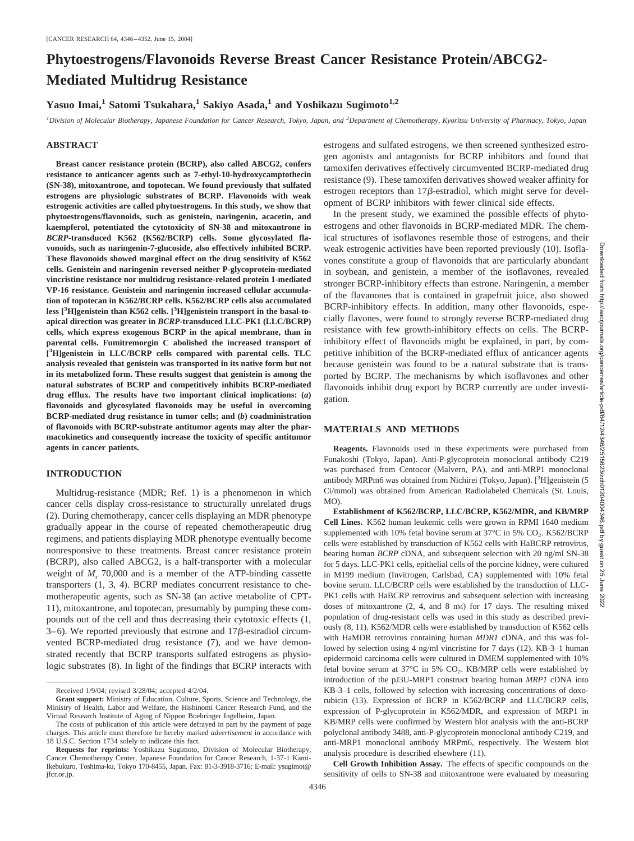# **Phytoestrogens/Flavonoids Reverse Breast Cancer Resistance Protein/ABCG2- Mediated Multidrug Resistance**

Yasuo Imai,<sup>1</sup> Satomi Tsukahara,<sup>1</sup> Sakiyo Asada,<sup>1</sup> and Yoshikazu Sugimoto<sup>1,2</sup>

*1 Division of Molecular Biotherapy, Japanese Foundation for Cancer Research, Tokyo, Japan, and <sup>2</sup> Department of Chemotherapy, Kyoritsu University of Pharmacy, Tokyo, Japan*

## **ABSTRACT**

**Breast cancer resistance protein (BCRP), also called ABCG2, confers resistance to anticancer agents such as 7-ethyl-10-hydroxycamptothecin (SN-38), mitoxantrone, and topotecan. We found previously that sulfated estrogens are physiologic substrates of BCRP. Flavonoids with weak estrogenic activities are called phytoestrogens. In this study, we show that phytoestrogens/flavonoids, such as genistein, naringenin, acacetin, and kaempferol, potentiated the cytotoxicity of SN-38 and mitoxantrone in** *BCRP***-transduced K562 (K562/BCRP) cells. Some glycosylated flavonoids, such as naringenin-7-glucoside, also effectively inhibited BCRP. These flavonoids showed marginal effect on the drug sensitivity of K562 cells. Genistein and naringenin reversed neither P-glycoprotein-mediated vincristine resistance nor multidrug resistance-related protein 1-mediated VP-16 resistance. Genistein and naringenin increased cellular accumulation of topotecan in K562/BCRP cells. K562/BCRP cells also accumulated less [3 H]genistein than K562 cells. [3 H]genistein transport in the basal-toapical direction was greater in** *BCRP***-transduced LLC-PK1 (LLC/BCRP) cells, which express exogenous BCRP in the apical membrane, than in parental cells. Fumitremorgin C abolished the increased transport of [ 3 H]genistein in LLC/BCRP cells compared with parental cells. TLC analysis revealed that genistein was transported in its native form but not in its metabolized form. These results suggest that genistein is among the natural substrates of BCRP and competitively inhibits BCRP-mediated drug efflux. The results have two important clinical implications: (***a***) flavonoids and glycosylated flavonoids may be useful in overcoming BCRP-mediated drug resistance in tumor cells; and (***b***) coadministration of flavonoids with BCRP-substrate antitumor agents may alter the pharmacokinetics and consequently increase the toxicity of specific antitumor agents in cancer patients.**

# **INTRODUCTION**

Multidrug-resistance (MDR; Ref. 1) is a phenomenon in which cancer cells display cross-resistance to structurally unrelated drugs (2). During chemotherapy, cancer cells displaying an MDR phenotype gradually appear in the course of repeated chemotherapeutic drug regimens, and patients displaying MDR phenotype eventually become nonresponsive to these treatments. Breast cancer resistance protein (BCRP), also called ABCG2, is a half-transporter with a molecular weight of  $M_r$ , 70,000 and is a member of the ATP-binding cassette transporters (1, 3, 4). BCRP mediates concurrent resistance to chemotherapeutic agents, such as SN-38 (an active metabolite of CPT-11), mitoxantrone, and topotecan, presumably by pumping these compounds out of the cell and thus decreasing their cytotoxic effects (1,  $3-6$ ). We reported previously that estrone and  $17\beta$ -estradiol circumvented BCRP-mediated drug resistance (7), and we have demonstrated recently that BCRP transports sulfated estrogens as physiologic substrates (8). In light of the findings that BCRP interacts with estrogens and sulfated estrogens, we then screened synthesized estrogen agonists and antagonists for BCRP inhibitors and found that tamoxifen derivatives effectively circumvented BCRP-mediated drug resistance (9). These tamoxifen derivatives showed weaker affinity for estrogen receptors than  $17\beta$ -estradiol, which might serve for development of BCRP inhibitors with fewer clinical side effects.

In the present study, we examined the possible effects of phytoestrogens and other flavonoids in BCRP-mediated MDR. The chemical structures of isoflavones resemble those of estrogens, and their weak estrogenic activities have been reported previously (10). Isoflavones constitute a group of flavonoids that are particularly abundant in soybean, and genistein, a member of the isoflavones, revealed stronger BCRP-inhibitory effects than estrone. Naringenin, a member of the flavanones that is contained in grapefruit juice, also showed BCRP-inhibitory effects. In addition, many other flavonoids, especially flavones, were found to strongly reverse BCRP-mediated drug resistance with few growth-inhibitory effects on cells. The BCRPinhibitory effect of flavonoids might be explained, in part, by competitive inhibition of the BCRP-mediated efflux of anticancer agents because genistein was found to be a natural substrate that is transported by BCRP. The mechanisms by which isoflavones and other flavonoids inhibit drug export by BCRP currently are under investigation.

## **MATERIALS AND METHODS**

**Reagents.** Flavonoids used in these experiments were purchased from Funakoshi (Tokyo, Japan). Anti-P-glycoprotein monoclonal antibody C219 was purchased from Centocor (Malvern, PA), and anti-MRP1 monoclonal antibody MRPm6 was obtained from Nichirei (Tokyo, Japan). [<sup>3</sup>H]genistein (5 Ci/mmol) was obtained from American Radiolabeled Chemicals (St. Louis, MO).

**Establishment of K562/BCRP, LLC/BCRP, K562/MDR, and KB/MRP Cell Lines.** K562 human leukemic cells were grown in RPMI 1640 medium supplemented with 10% fetal bovine serum at  $37^{\circ}$ C in 5% CO<sub>2</sub>. K562/BCRP cells were established by transduction of K562 cells with HaBCRP retrovirus, bearing human *BCRP* cDNA, and subsequent selection with 20 ng/ml SN-38 for 5 days. LLC-PK1 cells, epithelial cells of the porcine kidney, were cultured in M199 medium (Invitrogen, Carlsbad, CA) supplemented with 10% fetal bovine serum. LLC/BCRP cells were established by the transduction of LLC-PK1 cells with HaBCRP retrovirus and subsequent selection with increasing doses of mitoxantrone (2, 4, and 8 nM) for 17 days. The resulting mixed population of drug-resistant cells was used in this study as described previously (8, 11). K562/MDR cells were established by transduction of K562 cells with HaMDR retrovirus containing human *MDR1* cDNA, and this was followed by selection using 4 ng/ml vincristine for 7 days (12). KB-3–1 human epidermoid carcinoma cells were cultured in DMEM supplemented with 10% fetal bovine serum at  $37^{\circ}$ C in 5% CO<sub>2</sub>. KB/MRP cells were established by introduction of the pJ3U-MRP1 construct bearing human *MRP1* cDNA into KB-3–1 cells, followed by selection with increasing concentrations of doxorubicin (13). Expression of BCRP in K562/BCRP and LLC/BCRP cells, expression of P-glycoprotein in K562/MDR, and expression of MRP1 in KB/MRP cells were confirmed by Western blot analysis with the anti-BCRP polyclonal antibody 3488, anti-P-glycoprotein monoclonal antibody C219, and anti-MRP1 monoclonal antibody MRPm6, respectively. The Western blot analysis procedure is described elsewhere (11).

Downloaded from http://aacrjournals.org/cancerres/article-pdf/64/12/4346/2515623/zch01204004346.pdf by guest on 25 June 2022http://aacrjournals.org/cancerres/article-pdf/64/12/4346/2515623/zch01204004346.pdf by guest on 25 June 2022

**Downloaded** 

**Cell Growth Inhibition Assay.** The effects of specific compounds on the sensitivity of cells to SN-38 and mitoxantrone were evaluated by measuring

Received 1/9/04; revised 3/28/04; accepted 4/2/04.

**Grant support:** Ministry of Education, Culture, Sports, Science and Technology, the Ministry of Health, Labor and Welfare, the Hishinomi Cancer Research Fund, and the Virtual Research Institute of Aging of Nippon Boehringer Ingelheim, Japan.

The costs of publication of this article were defrayed in part by the payment of page charges. This article must therefore be hereby marked *advertisement* in accordance with 18 U.S.C. Section 1734 solely to indicate this fact.

**Requests for reprints:** Yoshikazu Sugimoto, Division of Molecular Biotherapy, Cancer Chemotherapy Center, Japanese Foundation for Cancer Research, 1-37-1 Kami-Ikebukuro, Toshima-ku, Tokyo 170-8455, Japan. Fax: 81-3-3918-3716; E-mail: ysugimot@ jfcr.or.jp.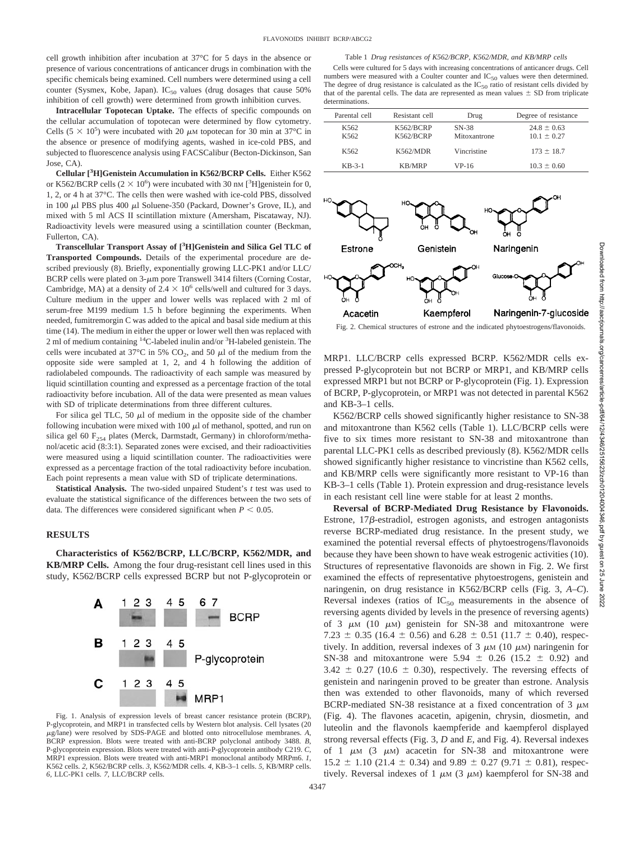#### Table 1 *Drug resistances of K562/BCRP, K562/MDR, and KB/MRP cells*

cell growth inhibition after incubation at 37°C for 5 days in the absence or presence of various concentrations of anticancer drugs in combination with the specific chemicals being examined. Cell numbers were determined using a cell counter (Sysmex, Kobe, Japan).  $IC_{50}$  values (drug dosages that cause 50% inhibition of cell growth) were determined from growth inhibition curves.

**Intracellular Topotecan Uptake.** The effects of specific compounds on the cellular accumulation of topotecan were determined by flow cytometry. Cells  $(5 \times 10^5)$  were incubated with 20  $\mu$ M topotecan for 30 min at 37°C in the absence or presence of modifying agents, washed in ice-cold PBS, and subjected to fluorescence analysis using FACSCalibur (Becton-Dickinson, San Jose, CA).

**Cellular [3 H]Genistein Accumulation in K562/BCRP Cells.** Either K562 or K562/BCRP cells  $(2 \times 10^6)$  were incubated with 30 nm [<sup>3</sup>H]genistein for 0, 1, 2, or 4 h at 37°C. The cells then were washed with ice-cold PBS, dissolved in 100  $\mu$ l PBS plus 400  $\mu$ l Soluene-350 (Packard, Downer's Grove, IL), and mixed with 5 ml ACS II scintillation mixture (Amersham, Piscataway, NJ). Radioactivity levels were measured using a scintillation counter (Beckman, Fullerton, CA).

**Transcellular Transport Assay of [3 H]Genistein and Silica Gel TLC of Transported Compounds.** Details of the experimental procedure are described previously (8). Briefly, exponentially growing LLC-PK1 and/or LLC/ BCRP cells were plated on  $3-\mu m$  pore Transwell 3414 filters (Corning Costar, Cambridge, MA) at a density of  $2.4 \times 10^6$  cells/well and cultured for 3 days. Culture medium in the upper and lower wells was replaced with 2 ml of serum-free M199 medium 1.5 h before beginning the experiments. When needed, fumitremorgin C was added to the apical and basal side medium at this time (14). The medium in either the upper or lower well then was replaced with 2 ml of medium containing <sup>14</sup>C-labeled inulin and/or <sup>3</sup>H-labeled genistein. The cells were incubated at 37 $\degree$ C in 5% CO<sub>2</sub>, and 50  $\mu$ l of the medium from the opposite side were sampled at 1, 2, and 4 h following the addition of radiolabeled compounds. The radioactivity of each sample was measured by liquid scintillation counting and expressed as a percentage fraction of the total radioactivity before incubation. All of the data were presented as mean values with SD of triplicate determinations from three different cultures.

For silica gel TLC, 50  $\mu$ l of medium in the opposite side of the chamber following incubation were mixed with  $100 \mu l$  of methanol, spotted, and run on silica gel 60  $F_{254}$  plates (Merck, Darmstadt, Germany) in chloroform/methanol/acetic acid (8:3:1). Separated zones were excised, and their radioactivities were measured using a liquid scintillation counter. The radioactivities were expressed as a percentage fraction of the total radioactivity before incubation. Each point represents a mean value with SD of triplicate determinations.

**Statistical Analysis.** The two-sided unpaired Student's *t* test was used to evaluate the statistical significance of the differences between the two sets of data. The differences were considered significant when  $P < 0.05$ .

## **RESULTS**

**Characteristics of K562/BCRP, LLC/BCRP, K562/MDR, and KB/MRP Cells.** Among the four drug-resistant cell lines used in this study, K562/BCRP cells expressed BCRP but not P-glycoprotein or



Fig. 1. Analysis of expression levels of breast cancer resistance protein (BCRP), P-glycoprotein, and MRP1 in transfected cells by Western blot analysis. Cell lysates (20 -g/lane) were resolved by SDS-PAGE and blotted onto nitrocellulose membranes. *A,* BCRP expression. Blots were treated with anti-BCRP polyclonal antibody 3488. *B,* P-glycoprotein expression. Blots were treated with anti-P-glycoprotein antibody C219. *C,* MRP1 expression. Blots were treated with anti-MRP1 monoclonal antibody MRPm6. *1*, K562 cells. *2,* K562/BCRP cells. *3,* K562/MDR cells. *4,* KB-3–1 cells. *5,* KB/MRP cells. *6,* LLC-PK1 cells. *7,* LLC/BCRP cells.

Cells were cultured for 5 days with increasing concentrations of anticancer drugs. Cell numbers were measured with a Coulter counter and  $IC_{50}$  values were then determined. The degree of drug resistance is calculated as the  $IC_{50}$  ratio of resistant cells divided by that of the parental cells. The data are represented as mean values  $\pm$  SD from triplicate determinations.

| Parental cell | Resistant cell         | Drug                  | Degree of resistance               |
|---------------|------------------------|-----------------------|------------------------------------|
| K562<br>K562  | K562/BCRP<br>K562/BCRP | SN-38<br>Mitoxantrone | $24.8 \pm 0.63$<br>$10.1 \pm 0.27$ |
| K562          | K562/MDR               | Vincristine           | $173 \pm 18.7$                     |
| $KB-3-1$      | <b>KB/MRP</b>          | VP-16                 | $10.3 \pm 0.60$                    |



Fig. 2. Chemical structures of estrone and the indicated phytoestrogens/flavonoids.

MRP1. LLC/BCRP cells expressed BCRP. K562/MDR cells expressed P-glycoprotein but not BCRP or MRP1, and KB/MRP cells expressed MRP1 but not BCRP or P-glycoprotein (Fig. 1). Expression of BCRP, P-glycoprotein, or MRP1 was not detected in parental K562 and KB-3–1 cells.

K562/BCRP cells showed significantly higher resistance to SN-38 and mitoxantrone than K562 cells (Table 1). LLC/BCRP cells were five to six times more resistant to SN-38 and mitoxantrone than parental LLC-PK1 cells as described previously (8). K562/MDR cells showed significantly higher resistance to vincristine than K562 cells, and KB/MRP cells were significantly more resistant to VP-16 than KB-3–1 cells (Table 1). Protein expression and drug-resistance levels in each resistant cell line were stable for at least 2 months.

**Reversal of BCRP-Mediated Drug Resistance by Flavonoids.** Estrone,  $17\beta$ -estradiol, estrogen agonists, and estrogen antagonists reverse BCRP-mediated drug resistance. In the present study, we examined the potential reversal effects of phytoestrogens/flavonoids because they have been shown to have weak estrogenic activities (10). Structures of representative flavonoids are shown in Fig. 2. We first examined the effects of representative phytoestrogens, genistein and naringenin, on drug resistance in K562/BCRP cells (Fig. 3, *A–C*). Reversal indexes (ratios of  $IC_{50}$  measurements in the absence of reversing agents divided by levels in the presence of reversing agents) of 3  $\mu$ M (10  $\mu$ M) genistein for SN-38 and mitoxantrone were 7.23  $\pm$  0.35 (16.4  $\pm$  0.56) and 6.28  $\pm$  0.51 (11.7  $\pm$  0.40), respectively. In addition, reversal indexes of  $3 \mu M (10 \mu M)$  naringenin for SN-38 and mitoxantrone were  $5.94 \pm 0.26$  (15.2  $\pm$  0.92) and  $3.42 \pm 0.27$  (10.6  $\pm$  0.30), respectively. The reversing effects of genistein and naringenin proved to be greater than estrone. Analysis then was extended to other flavonoids, many of which reversed BCRP-mediated SN-38 resistance at a fixed concentration of 3  $\mu$ M (Fig. 4). The flavones acacetin, apigenin, chrysin, diosmetin, and luteolin and the flavonols kaempferide and kaempferol displayed strong reversal effects (Fig. 3, *D* and *E*, and Fig. 4). Reversal indexes of 1  $\mu$ M (3  $\mu$ M) acacetin for SN-38 and mitoxantrone were  $15.2 \pm 1.10$  (21.4  $\pm$  0.34) and 9.89  $\pm$  0.27 (9.71  $\pm$  0.81), respectively. Reversal indexes of 1  $\mu$ M (3  $\mu$ M) kaempferol for SN-38 and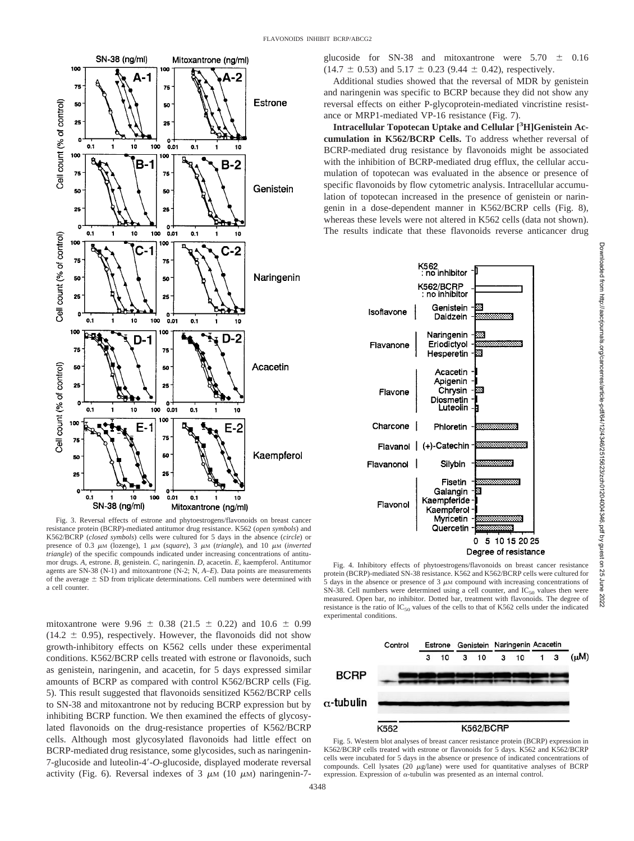

Fig. 3. Reversal effects of estrone and phytoestrogens/flavonoids on breast cancer resistance protein (BCRP)-mediated antitumor drug resistance. K562 (*open symbols*) and K562/BCRP (*closed symbols*) cells were cultured for 5 days in the absence (*circle*) or presence of 0.3 μm (lozenge), 1 μm (*square*), 3 μm (*triangle*), and 10 μm (*inverted triangle*) of the specific compounds indicated under increasing concentrations of antitumor drugs. *A,* estrone. *B,* genistein. *C,* naringenin. *D,* acacetin. *E,* kaempferol. Antitumor agents are SN-38 (N-1) and mitoxantrone (N-2; N, *A–E*). Data points are measurements of the average  $\pm$  SD from triplicate determinations. Cell numbers were determined with a cell counter.

mitoxantrone were 9.96  $\pm$  0.38 (21.5  $\pm$  0.22) and 10.6  $\pm$  0.99  $(14.2 \pm 0.95)$ , respectively. However, the flavonoids did not show growth-inhibitory effects on K562 cells under these experimental conditions. K562/BCRP cells treated with estrone or flavonoids, such as genistein, naringenin, and acacetin, for 5 days expressed similar amounts of BCRP as compared with control K562/BCRP cells (Fig. 5). This result suggested that flavonoids sensitized K562/BCRP cells to SN-38 and mitoxantrone not by reducing BCRP expression but by inhibiting BCRP function. We then examined the effects of glycosylated flavonoids on the drug-resistance properties of K562/BCRP cells. Although most glycosylated flavonoids had little effect on BCRP-mediated drug resistance, some glycosides, such as naringenin-7-glucoside and luteolin-4-*O*-glucoside, displayed moderate reversal activity (Fig. 6). Reversal indexes of  $3 \mu M$  (10  $\mu$ M) naringenin-7glucoside for SN-38 and mitoxantrone were  $5.70 \pm 0.16$  $(14.7 \pm 0.53)$  and  $5.17 \pm 0.23$  (9.44  $\pm$  0.42), respectively.

Additional studies showed that the reversal of MDR by genistein and naringenin was specific to BCRP because they did not show any reversal effects on either P-glycoprotein-mediated vincristine resistance or MRP1-mediated VP-16 resistance (Fig. 7).

**Intracellular Topotecan Uptake and Cellular [3 H]Genistein Accumulation in K562/BCRP Cells.** To address whether reversal of BCRP-mediated drug resistance by flavonoids might be associated with the inhibition of BCRP-mediated drug efflux, the cellular accumulation of topotecan was evaluated in the absence or presence of specific flavonoids by flow cytometric analysis. Intracellular accumulation of topotecan increased in the presence of genistein or naringenin in a dose-dependent manner in K562/BCRP cells (Fig. 8), whereas these levels were not altered in K562 cells (data not shown). The results indicate that these flavonoids reverse anticancer drug



Fig. 4. Inhibitory effects of phytoestrogens/flavonoids on breast cancer resistance protein (BCRP)-mediated SN-38 resistance. K562 and K562/BCRP cells were cultured for  $5$  days in the absence or presence of  $3 \mu$ M compound with increasing concentrations of SN-38. Cell numbers were determined using a cell counter, and  $IC_{50}$  values then were measured. Open bar, no inhibitor. Dotted bar, treatment with flavonoids. The degree of resistance is the ratio of  $IC_{50}$  values of the cells to that of K562 cells under the indicated experimental conditions.



Fig. 5. Western blot analyses of breast cancer resistance protein (BCRP) expression in K562/BCRP cells treated with estrone or flavonoids for 5 days. K562 and K562/BCRP cells were incubated for 5 days in the absence or presence of indicated concentrations of compounds. Cell lysates (20  $\mu$ g/lane) were used for quantitative analyses of BCRP expression. Expression of  $\alpha$ -tubulin was presented as an internal control.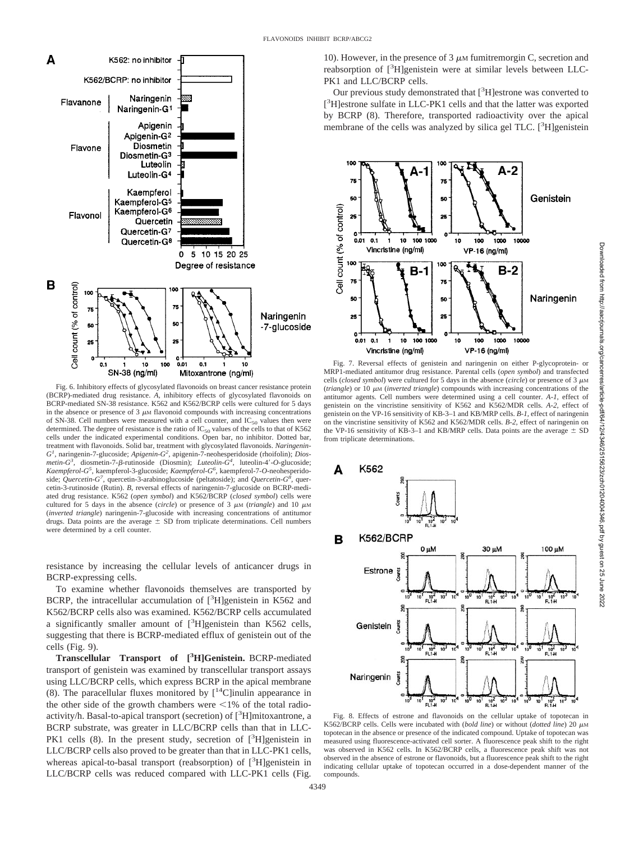

Fig. 6. Inhibitory effects of glycosylated flavonoids on breast cancer resistance protein (BCRP)-mediated drug resistance. *A,* inhibitory effects of glycosylated flavonoids on BCRP-mediated SN-38 resistance. K562 and K562/BCRP cells were cultured for 5 days in the absence or presence of  $3 \mu$ M flavonoid compounds with increasing concentrations of SN-38. Cell numbers were measured with a cell counter, and  $IC_{50}$  values then were determined. The degree of resistance is the ratio of  $IC_{50}$  values of the cells to that of K562 cells under the indicated experimental conditions. Open bar, no inhibitor. Dotted bar, treatment with flavonoids. Solid bar, treatment with glycosylated flavonoids. *Naringenin-G1 ,* naringenin-7-glucoside; *Apigenin-G<sup>2</sup> ,* apigenin-7-neohesperidoside (rhoifolin); *Dios* $metin-G<sup>3</sup>$ , diosmetin-7- $\beta$ -rutinoside (Diosmin); *Luteolin-G<sup>4</sup>*, luteolin-4'-O-glucoside; *Kaempferol-G<sup>5</sup> ,* kaempferol-3-glucoside; *Kaempferol-G<sup>6</sup> ,* kaempferol-7-*O*-neohesperidoside; *Quercetin-G*<sup>7</sup>, quercetin-3-arabinoglucoside (peltatoside); and *Quercetin-G*<sup>§</sup>, quercetin-3-rutinoside (Rutin). *B,* reversal effects of naringenin-7-glucoside on BCRP-mediated drug resistance. K562 (*open symbol*) and K562/BCRP (*closed symbol*) cells were cultured for 5 days in the absence (*circle*) or presence of 3  $\mu$ M (*triangle*) and 10  $\mu$ M (*inverted triangle*) naringenin-7-glucoside with increasing concentrations of antitumor drugs. Data points are the average  $\pm$  SD from triplicate determinations. Cell numbers were determined by a cell counter.

resistance by increasing the cellular levels of anticancer drugs in BCRP-expressing cells.

To examine whether flavonoids themselves are transported by BCRP, the intracellular accumulation of  $[3H]$ genistein in K562 and K562/BCRP cells also was examined. K562/BCRP cells accumulated a significantly smaller amount of  $[^3H]$ genistein than K562 cells, suggesting that there is BCRP-mediated efflux of genistein out of the cells (Fig. 9).

**Transcellular Transport of [3 H]Genistein.** BCRP-mediated transport of genistein was examined by transcellular transport assays using LLC/BCRP cells, which express BCRP in the apical membrane (8). The paracellular fluxes monitored by  $[14C]$ inulin appearance in the other side of the growth chambers were  $\leq$ 1% of the total radioactivity/h. Basal-to-apical transport (secretion) of [<sup>3</sup>H]mitoxantrone, a BCRP substrate, was greater in LLC/BCRP cells than that in LLC-PK1 cells (8). In the present study, secretion of [3H]genistein in LLC/BCRP cells also proved to be greater than that in LLC-PK1 cells, whereas apical-to-basal transport (reabsorption) of [<sup>3</sup>H]genistein in LLC/BCRP cells was reduced compared with LLC-PK1 cells (Fig.

10). However, in the presence of 3  $\mu$ M fumitremorgin C, secretion and reabsorption of [<sup>3</sup>H]genistein were at similar levels between LLC-PK1 and LLC/BCRP cells.

Our previous study demonstrated that [<sup>3</sup>H] estrone was converted to [<sup>3</sup>H]estrone sulfate in LLC-PK1 cells and that the latter was exported by BCRP (8). Therefore, transported radioactivity over the apical membrane of the cells was analyzed by silica gel TLC. [<sup>3</sup>H]genistein



Fig. 7. Reversal effects of genistein and naringenin on either P-glycoprotein- or MRP1-mediated antitumor drug resistance. Parental cells (*open symbol*) and transfected cells (*closed symbol*) were cultured for 5 days in the absence (*circle*) or presence of 3  $\mu$ M (*triangle*) or 10  $\mu$ M (*inverted triangle*) compounds with increasing concentrations of the antitumor agents. Cell numbers were determined using a cell counter. *A-1,* effect of genistein on the vincristine sensitivity of K562 and K562/MDR cells. *A-2,* effect of genistein on the VP-16 sensitivity of KB-3–1 and KB/MRP cells. *B-1,* effect of naringenin on the vincristine sensitivity of K562 and K562/MDR cells. *B-2,* effect of naringenin on the VP-16 sensitivity of KB-3-1 and KB/MRP cells. Data points are the average  $\pm$  SD from triplicate determinations.



K562/BCRP cells. Cells were incubated with (*bold line*) or without (*dotted line*) 20  $\mu$ M topotecan in the absence or presence of the indicated compound. Uptake of topotecan was measured using fluorescence-activated cell sorter. A fluorescence peak shift to the right was observed in K562 cells. In K562/BCRP cells, a fluorescence peak shift was not observed in the absence of estrone or flavonoids, but a fluorescence peak shift to the right indicating cellular uptake of topotecan occurred in a dose-dependent manner of the compounds.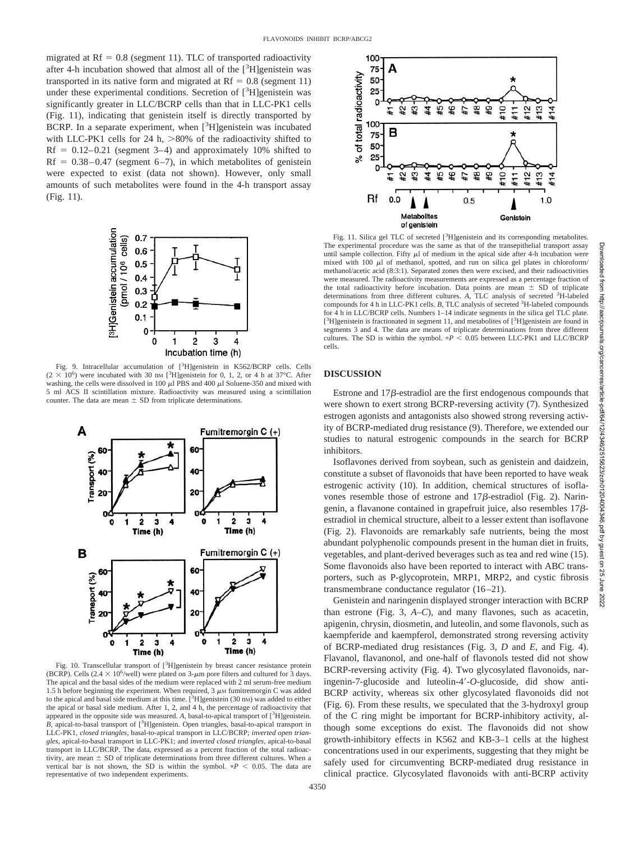migrated at  $Rf = 0.8$  (segment 11). TLC of transported radioactivity after 4-h incubation showed that almost all of the  $[^{3}H]$ genistein was transported in its native form and migrated at  $Rf = 0.8$  (segment 11) under these experimental conditions. Secretion of [<sup>3</sup>H]genistein was significantly greater in LLC/BCRP cells than that in LLC-PK1 cells (Fig. 11), indicating that genistein itself is directly transported by BCRP. In a separate experiment, when [<sup>3</sup>H]genistein was incubated with LLC-PK1 cells for 24 h,  $>80\%$  of the radioactivity shifted to  $Rf = 0.12-0.21$  (segment 3-4) and approximately 10% shifted to Rf =  $0.38-0.47$  (segment 6-7), in which metabolites of genistein were expected to exist (data not shown). However, only small amounts of such metabolites were found in the 4-h transport assay (Fig. 11).



Fig. 9. Intracellular accumulation of [<sup>3</sup>H]genistein in K562/BCRP cells. Cells  $(2 \times 10^6)$  were incubated with 30 nm [<sup>3</sup>H]genistein for 0, 1, 2, or 4 h at 37°C. After washing, the cells were dissolved in 100  $\mu$ l PBS and 400  $\mu$ l Soluene-350 and mixed with 5 ml ACS II scintillation mixture. Radioactivity was measured using a scintillation counter. The data are mean  $\pm$  SD from triplicate determinations.



Fig. 10. Transcellular transport of [<sup>3</sup>H]genistein by breast cancer resistance protein (BCRP). Cells (2.4  $\times$  10<sup>6</sup>/well) were plated on 3- $\mu$ m pore filters and cultured for 3 days. The apical and the basal sides of the medium were replaced with 2 ml serum-free medium 1.5 h before beginning the experiment. When required, 3  $\mu$ M fumitremorgin C was added to the apical and basal side medium at this time.  $[{}^{3}H]$ genistein (30 nm) was added to either the apical or basal side medium. After 1, 2, and 4 h, the percentage of radioactivity that appeared in the opposite side was measured. A, basal-to-apical transport of [<sup>3</sup>H]genistein.  $\hat{B}$ , apical-to-basal transport of  $[^{3}$ H]genistein. Open triangles, basal-to-apical transport in LLC-PK1, *closed triangles*, basal-to-apical transport in LLC/BCRP; *inverted open triangles*, apical-to-basal transport in LLC-PK1; and *inverted closed triangles*, apical-to-basal transport in LLC/BCRP. The data, expressed as a percent fraction of the total radioactivity, are mean  $\pm$  SD of triplicate determinations from three different cultures. When a vertical bar is not shown, the SD is within the symbol.  $*P < 0.05$ . The data are representative of two independent experiments.



Fig. 11. Silica gel TLC of secreted [<sup>3</sup>H]genistein and its corresponding metabolites. The experimental procedure was the same as that of the transepithelial transport assay until sample collection. Fifty  $\mu$ l of medium in the apical side after 4-h incubation were mixed with 100  $\mu$ l of methanol, spotted, and run on silica gel plates in chloroform/ methanol/acetic acid (8:3:1). Separated zones then were excised, and their radioactivities were measured. The radioactivity measurements are expressed as a percentage fraction of the total radioactivity before incubation. Data points are mean  $\pm$  SD of triplicate determinations from three different cultures. A, TLC analysis of secreted <sup>3</sup>H-labeled compounds for 4 h in LLC-PK1 cells. *B*, TLC analysis of secreted <sup>3</sup>H-labeled compounds for 4 h in LLC/BCRP cells. Numbers 1–14 indicate segments in the silica gel TLC plate. [<sup>3</sup>H]genistein is fractionated in segment 11, and metabolites of [<sup>3</sup>H]genistein are found in segments 3 and 4. The data are means of triplicate determinations from three different cultures. The SD is within the symbol.  $*P < 0.05$  between LLC-PK1 and LLC/BCRP cells.

## **DISCUSSION**

Estrone and  $17\beta$ -estradiol are the first endogenous compounds that were shown to exert strong BCRP-reversing activity (7). Synthesized estrogen agonists and antagonists also showed strong reversing activity of BCRP-mediated drug resistance (9). Therefore, we extended our studies to natural estrogenic compounds in the search for BCRP inhibitors.

Isoflavones derived from soybean, such as genistein and daidzein, constitute a subset of flavonoids that have been reported to have weak estrogenic activity (10). In addition, chemical structures of isoflavones resemble those of estrone and  $17\beta$ -estradiol (Fig. 2). Naringenin, a flavanone contained in grapefruit juice, also resembles  $17\beta$ estradiol in chemical structure, albeit to a lesser extent than isoflavone (Fig. 2). Flavonoids are remarkably safe nutrients, being the most abundant polyphenolic compounds present in the human diet in fruits, vegetables, and plant-derived beverages such as tea and red wine (15). Some flavonoids also have been reported to interact with ABC transporters, such as P-glycoprotein, MRP1, MRP2, and cystic fibrosis transmembrane conductance regulator (16–21).

Genistein and naringenin displayed stronger interaction with BCRP than estrone (Fig. 3, *A–C*), and many flavones, such as acacetin, apigenin, chrysin, diosmetin, and luteolin, and some flavonols, such as kaempferide and kaempferol, demonstrated strong reversing activity of BCRP-mediated drug resistances (Fig. 3, *D* and *E*, and Fig. 4). Flavanol, flavanonol, and one-half of flavonols tested did not show BCRP-reversing activity (Fig. 4). Two glycosylated flavonoids, naringenin-7-glucoside and luteolin-4-*O*-glucoside, did show anti-BCRP activity, whereas six other glycosylated flavonoids did not (Fig. 6). From these results, we speculated that the 3-hydroxyl group of the C ring might be important for BCRP-inhibitory activity, although some exceptions do exist. The flavonoids did not show growth-inhibitory effects in K562 and KB-3–1 cells at the highest concentrations used in our experiments, suggesting that they might be safely used for circumventing BCRP-mediated drug resistance in clinical practice. Glycosylated flavonoids with anti-BCRP activity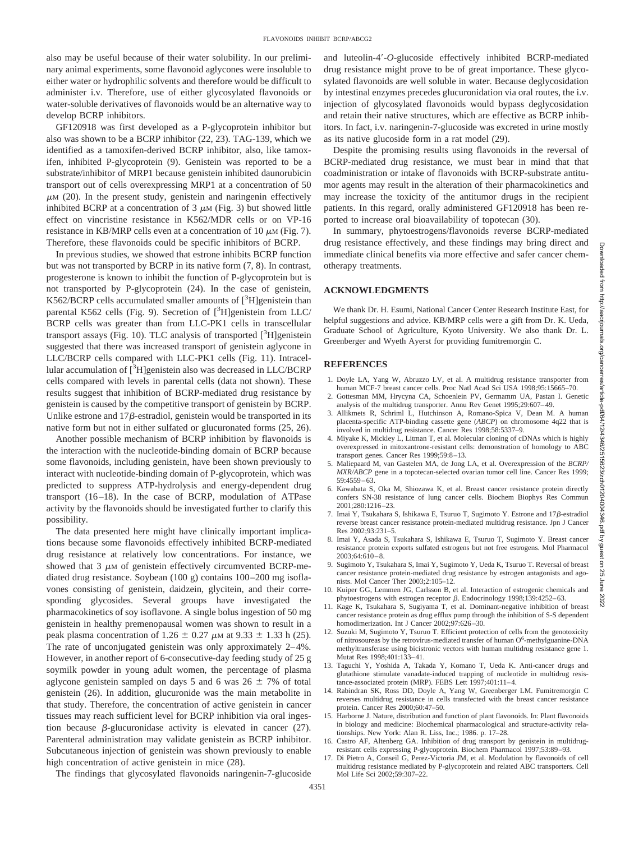also may be useful because of their water solubility. In our preliminary animal experiments, some flavonoid aglycones were insoluble to either water or hydrophilic solvents and therefore would be difficult to administer i.v. Therefore, use of either glycosylated flavonoids or water-soluble derivatives of flavonoids would be an alternative way to develop BCRP inhibitors.

GF120918 was first developed as a P-glycoprotein inhibitor but also was shown to be a BCRP inhibitor (22, 23). TAG-139, which we identified as a tamoxifen-derived BCRP inhibitor, also, like tamoxifen, inhibited P-glycoprotein (9). Genistein was reported to be a substrate/inhibitor of MRP1 because genistein inhibited daunorubicin transport out of cells overexpressing MRP1 at a concentration of 50  $\mu$ M (20). In the present study, genistein and naringenin effectively inhibited BCRP at a concentration of  $3 \mu$ M (Fig. 3) but showed little effect on vincristine resistance in K562/MDR cells or on VP-16 resistance in KB/MRP cells even at a concentration of 10  $\mu$ M (Fig. 7). Therefore, these flavonoids could be specific inhibitors of BCRP.

In previous studies, we showed that estrone inhibits BCRP function but was not transported by BCRP in its native form (7, 8). In contrast, progesterone is known to inhibit the function of P-glycoprotein but is not transported by P-glycoprotein (24). In the case of genistein, K562/BCRP cells accumulated smaller amounts of [<sup>3</sup>H]genistein than parental K562 cells (Fig. 9). Secretion of [<sup>3</sup>H]genistein from LLC/ BCRP cells was greater than from LLC-PK1 cells in transcellular transport assays (Fig. 10). TLC analysis of transported [<sup>3</sup>H]genistein suggested that there was increased transport of genistein aglycone in LLC/BCRP cells compared with LLC-PK1 cells (Fig. 11). Intracellular accumulation of [<sup>3</sup>H]genistein also was decreased in LLC/BCRP cells compared with levels in parental cells (data not shown). These results suggest that inhibition of BCRP-mediated drug resistance by genistein is caused by the competitive transport of genistein by BCRP. Unlike estrone and  $17\beta$ -estradiol, genistein would be transported in its native form but not in either sulfated or glucuronated forms (25, 26).

Another possible mechanism of BCRP inhibition by flavonoids is the interaction with the nucleotide-binding domain of BCRP because some flavonoids, including genistein, have been shown previously to interact with nucleotide-binding domain of P-glycoprotein, which was predicted to suppress ATP-hydrolysis and energy-dependent drug transport (16–18). In the case of BCRP, modulation of ATPase activity by the flavonoids should be investigated further to clarify this possibility.

The data presented here might have clinically important implications because some flavonoids effectively inhibited BCRP-mediated drug resistance at relatively low concentrations. For instance, we showed that  $3 \mu$ M of genistein effectively circumvented BCRP-mediated drug resistance. Soybean (100 g) contains 100–200 mg isoflavones consisting of genistein, daidzein, glycitein, and their corresponding glycosides. Several groups have investigated the pharmacokinetics of soy isoflavone. A single bolus ingestion of 50 mg genistein in healthy premenopausal women was shown to result in a peak plasma concentration of 1.26  $\pm$  0.27  $\mu$ M at 9.33  $\pm$  1.33 h (25). The rate of unconjugated genistein was only approximately 2–4%. However, in another report of 6-consecutive-day feeding study of 25 g soymilk powder in young adult women, the percentage of plasma aglycone genistein sampled on days 5 and 6 was  $26 \pm 7\%$  of total genistein (26). In addition, glucuronide was the main metabolite in that study. Therefore, the concentration of active genistein in cancer tissues may reach sufficient level for BCRP inhibition via oral ingestion because  $\beta$ -glucuronidase activity is elevated in cancer (27). Parenteral administration may validate genistein as BCRP inhibitor. Subcutaneous injection of genistein was shown previously to enable high concentration of active genistein in mice (28).

The findings that glycosylated flavonoids naringenin-7-glucoside

and luteolin-4-*O*-glucoside effectively inhibited BCRP-mediated drug resistance might prove to be of great importance. These glycosylated flavonoids are well soluble in water. Because deglycosidation by intestinal enzymes precedes glucuronidation via oral routes, the i.v. injection of glycosylated flavonoids would bypass deglycosidation and retain their native structures, which are effective as BCRP inhibitors. In fact, i.v. naringenin-7-glucoside was excreted in urine mostly as its native glucoside form in a rat model (29).

Despite the promising results using flavonoids in the reversal of BCRP-mediated drug resistance, we must bear in mind that that coadministration or intake of flavonoids with BCRP-substrate antitumor agents may result in the alteration of their pharmacokinetics and may increase the toxicity of the antitumor drugs in the recipient patients. In this regard, orally administered GF120918 has been reported to increase oral bioavailability of topotecan (30).

In summary, phytoestrogens/flavonoids reverse BCRP-mediated drug resistance effectively, and these findings may bring direct and immediate clinical benefits via more effective and safer cancer chemotherapy treatments.

## **ACKNOWLEDGMENTS**

We thank Dr. H. Esumi, National Cancer Center Research Institute East, for helpful suggestions and advice. KB/MRP cells were a gift from Dr. K. Ueda, Graduate School of Agriculture, Kyoto University. We also thank Dr. L. Greenberger and Wyeth Ayerst for providing fumitremorgin C.

### **REFERENCES**

- 1. Doyle LA, Yang W, Abruzzo LV, et al. A multidrug resistance transporter from human MCF-7 breast cancer cells. Proc Natl Acad Sci USA 1998;95:15665–70.
- 2. Gottesman MM, Hrycyna CA, Schoenlein PV, Germamm UA, Pastan I. Genetic analysis of the multidrug transporter. Annu Rev Genet 1995;29:607–49.
- 3. Allikmets R, Schriml L, Hutchinson A, Romano-Spica V, Dean M. A human placenta-specific ATP-binding cassette gene (*ABCP*) on chromosome 4q22 that is involved in multidrug resistance. Cancer Res 1998;58:5337–9.
- 4. Miyake K, Mickley L, Litman T, et al. Molecular cloning of cDNAs which is highly overexpressed in mitoxantrone-resistant cells: demonstration of homology to ABC transport genes. Cancer Res 1999;59:8–13.
- 5. Maliepaard M, van Gastelen MA, de Jong LA, et al. Overexpression of the *BCRP/ MXR/ABCP* gene in a topotecan-selected ovarian tumor cell line. Cancer Res 1999; 59:4559–63.
- 6. Kawabata S, Oka M, Shiozawa K, et al. Breast cancer resistance protein directly confers SN-38 resistance of lung cancer cells. Biochem Biophys Res Commun 2001;280:1216–23.
- 7. Imai Y, Tsukahara S, Ishikawa E, Tsuruo T, Sugimoto Y. Estrone and 17 $\beta$ -estradiol reverse breast cancer resistance protein-mediated multidrug resistance. Jpn J Cancer Res 2002;93:231–5.
- 8. Imai Y, Asada S, Tsukahara S, Ishikawa E, Tsuruo T, Sugimoto Y. Breast cancer resistance protein exports sulfated estrogens but not free estrogens. Mol Pharmacol  $2003.64.610 - 8$
- 9. Sugimoto Y, Tsukahara S, Imai Y, Sugimoto Y, Ueda K, Tsuruo T. Reversal of breast cancer resistance protein-mediated drug resistance by estrogen antagonists and agonists. Mol Cancer Ther 2003;2:105–12.
- 10. Kuiper GG, Lemmen JG, Carlsson B, et al. Interaction of estrogenic chemicals and phytoestrogens with estrogen receptor  $\beta$ . Endocrinology 1998;139:4252-63.
- 11. Kage K, Tsukahara S, Sugiyama T, et al. Dominant-negative inhibition of breast cancer resistance protein as drug efflux pump through the inhibition of S-S dependent homodimerization. Int J Cancer 2002;97:626–30.
- 12. Suzuki M, Sugimoto Y, Tsuruo T. Efficient protection of cells from the genotoxicity of nitrosoureas by the retrovirus-mediated transfer of human O<sup>6</sup>-methylguanine-DNA methyltransferase using bicistronic vectors with human multidrug resistance gene 1. Mutat Res 1998;401:133–41.
- 13. Taguchi Y, Yoshida A, Takada Y, Komano T, Ueda K. Anti-cancer drugs and glutathione stimulate vanadate-induced trapping of nucleotide in multidrug resistance-associated protein (MRP). FEBS Lett 1997;401:11–4.
- 14. Rabindran SK, Ross DD, Doyle A, Yang W, Greenberger LM. Fumitremorgin C reverses multidrug resistance in cells transfected with the breast cancer resistance protein. Cancer Res 2000;60:47–50.
- 15. Harborne J. Nature, distribution and function of plant flavonoids. In: Plant flavonoids in biology and medicine: Biochemical pharmacological and structure-activity relationships. New York: Alan R. Liss, Inc.; 1986. p. 17–28.
- 16. Castro AF, Altenberg GA. Inhibition of drug transport by genistein in multidrugresistant cells expressing P-glycoprotein. Biochem Pharmacol 1997;53:89–93.
- 17. Di Pietro A, Conseil G, Perez-Victoria JM, et al. Modulation by flavonoids of cell multidrug resistance mediated by P-glycoprotein and related ABC transporters. Cell Mol Life Sci 2002;59:307–22.